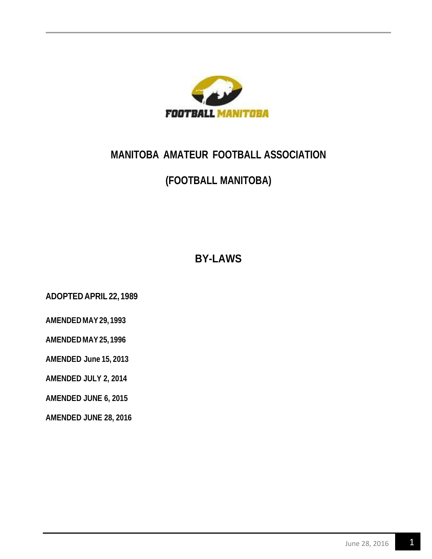

# **MANITOBA AMATEUR FOOTBALL ASSOCIATION**

# **(FOOTBALL MANITOBA)**

**BY-LAWS**

**ADOPTED APRIL 22, 1989**

**AMENDED MAY29, 1993**

**AMENDED MAY25, 1996**

**AMENDED June 15, 2013**

**AMENDED JULY 2, 2014**

**AMENDED JUNE 6, 2015**

**AMENDED JUNE 28, 2016**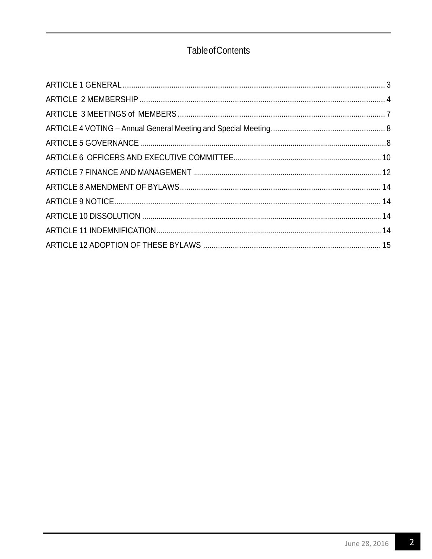## **Table of Contents**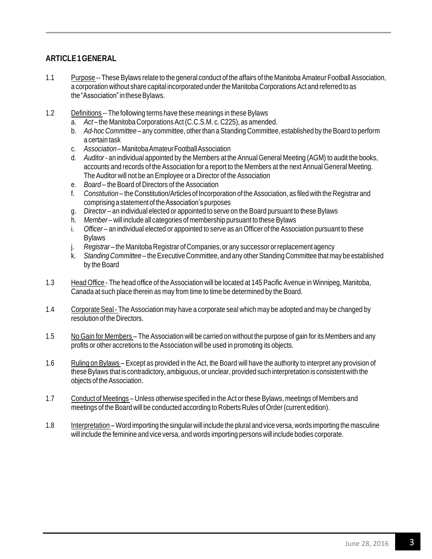## <span id="page-2-0"></span>**ARTICLE1GENERAL**

- 1.1 Purpose -- These Bylaws relate to the general conduct of the affairs of the Manitoba Amateur Football Association, a corporation without share capital incorporated under the Manitoba Corporations Act and referred to as the"Association"intheseBylaws.
- 1.2 Definitions -- The following terms have these meanings in these Bylaws
	- a. *Act* the Manitoba Corporations Act(C.C.S.M. c. C225), as amended.
	- b. *Ad-hoc Committee* any committee, otherthan a Standing Committee, established by the Board to perform a certain task
	- c. *Association*–ManitobaAmateurFootballAssociation
	- d. *Auditor* an individual appointed by the Members at the Annual General Meeting (AGM) to audit the books, accounts and records of the Association for a report to the Members at the next Annual General Meeting. The Auditor will not be an Employee or a Director of the Association
	- e. *Board* the Board of Directors of the Association
	- f. *Constitution* the Constitution/Articles of Incorporation of theAssociation, as filed with the Registrar and comprising astatement of theAssociation's purposes
	- g. *Director* an individual elected or appointed to serve on the Board pursuant to these Bylaws
	- h. *Member* will include all categories of membership pursuant to these Bylaws
	- i. *Officer* an individual elected or appointed to serve as an Officer of the Association pursuant to these **Bylaws**
	- j. *Registrar* the Manitoba Registrar of Companies, or any successor orreplacement agency
	- k. *Standing Committee* theExecutive Committee, and any otherStanding Committee that may be established by the Board
- 1.3 Head Office The head office of the Association will be located at 145 Pacific Avenue in Winnipeg, Manitoba, Canada at such place therein as may from time to time be determined by the Board.
- 1.4 Corporate Seal- The Association may have a corporate seal which may be adopted and may be changed by resolution of the Directors.
- 1.5 No Gain for Members The Association will be carried on without the purpose of gain for its Members and any profits or other accretions to the Association will be used in promoting its objects.
- 1.6 Ruling on Bylaws Except as provided in the Act, the Board will have the authority to interpret any provision of these Bylaws that is contradictory, ambiguous, or unclear, provided such interpretation is consistent with the objects of the Association.
- 1.7 Conduct of Meetings Unless otherwise specified in the Act or these Bylaws, meetings of Members and meetings of the Board will be conducted according to Roberts Rules of Order (current edition).
- 1.8 Interpretation Word importing the singular will include the plural and vice versa, words importing the masculine will include the feminine and vice versa, and words importing persons will include bodies corporate.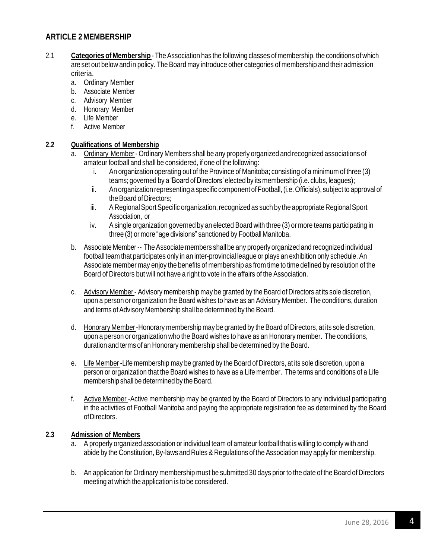## <span id="page-3-0"></span>**ARTICLE 2 MEMBERSHIP**

- 2.1 **Categories of Membership** TheAssociation has the following classes of membership, the conditions of which are set out below and in policy. The Board may introduce other categories of membership and their admission criteria.
	- a. Ordinary Member
	- b. Associate Member
	- c. Advisory Member
	- d. Honorary Member
	- e. Life Member
	- f. Active Member

#### **2.2 Qualifications of Membership**

- a. Ordinary Member- Ordinary Members shall be any properly organized and recognized associations of amateur football and shall be considered, if one of the following:
	- i. An organization operating out of the Province of Manitoba; consisting of a minimum of three (3) teams; governed by a 'Board of Directors' elected by its membership (i.e. clubs, leagues);
	- ii. An organization representing a specific component of Football,(i.e.Officials), subject to approval of the Board of Directors;
	- iii. A Regional Sport Specific organization, recognized as such by the appropriate Regional Sport Association, or
	- iv. A single organization governed by an elected Board with three (3) or more teams participating in three (3) or more "age divisions" sanctioned by Football Manitoba.
- b. Associate Member-- The Associate members shall be any properly organized and recognized individual football team that participates only in an inter-provincial league or plays an exhibition only schedule. An Associate member may enjoy the benefits of membership as from time to time defined by resolution of the Board of Directors but will not have a right to vote in the affairs of the Association.
- c. Advisory Member- Advisory membership may be granted by the Board of Directors at its sole discretion, upon a person or organization the Board wishes to have as an Advisory Member. The conditions, duration and terms of Advisory Membership shall be determined by the Board.
- d. Honorary Member-Honorary membership may be granted by the Board of Directors, at its sole discretion, upon a person or organization who the Board wishes to have as an Honorary member. The conditions, duration and terms of an Honorary membership shall be determined by the Board.
- e. Life Member-Life membership may be granted by the Board of Directors, at its sole discretion, upon a person or organization that the Board wishes to have as a Life member. The terms and conditions of a Life membership shall be determined by the Board.
- f. Active Member -Active membership may be granted by the Board of Directors to any individual participating in the activities of Football Manitoba and paying the appropriate registration fee as determined by the Board ofDirectors.

#### **2.3 Admission of Members**

- a. A properly organized association or individual team of amateur football that is willing to comply with and abide by the Constitution, By-laws and Rules & Regulations of the Association may apply for membership.
- b. An application for Ordinary membership must be submitted 30 days prior to the date of the Board of Directors meeting at which the application is to be considered.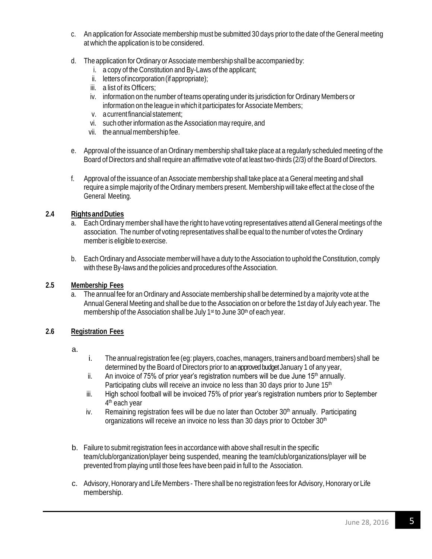- c. An application for Associate membership must be submitted 30 days prior to the date of the General meeting at which the application is to be considered.
- d. The application for Ordinary or Associate membership shall be accompanied by:
	- i. a copy of the Constitution and By-Laws of the applicant;
	- ii. letters of incorporation (if appropriate);
	- iii. a list of its Officers;
	- iv. information on the number of teams operating under its jurisdiction for Ordinary Members or information on the league in which it participates for Associate Members;
	- v. acurrentfinancialstatement;
	- vi. such otherinformation as the Association may require, and
	- vii. theannualmembership fee.
- e. Approval of the issuance of an Ordinary membership shall take place at a regularly scheduled meeting of the Board of Directors and shall require an affirmative vote of at least two-thirds (2/3) of the Board of Directors.
- f. Approval of the issuance of an Associate membership shall take place at a General meeting and shall require a simple majority of the Ordinary members present. Membership will take effect at the close of the General Meeting.

#### **2.4 RightsandDuties**

- a. Each Ordinary member shall have the right to have voting representatives attend all General meetings of the association. The number of voting representatives shall be equal to the number of votes the Ordinary memberis eligible to exercise.
- b. Each Ordinary and Associate member will have a duty to the Association to uphold the Constitution, comply with these By-laws and the policies and procedures of the Association.

#### **2.5 Membership Fees**

a. The annual fee for an Ordinary and Associate membership shall be determined by a majority vote at the Annual General Meeting and shall be due to the Association on or before the 1st day of July each year. The membership of the Association shall be July 1<sup>st</sup> to June 30<sup>th</sup> of each year.

#### **2.6 Registration Fees**

- a.
- i. The annual registration fee (eg: players, coaches, managers, trainers and board members) shall be determined by the Board of Directors prior to an approved budget January 1 of any year,
- ii. An invoice of 75% of prior year's registration numbers will be due June  $15<sup>th</sup>$  annually. Participating clubs will receive an invoice no less than 30 days prior to June 15<sup>th</sup>
- iii. High school football will be invoiced 75% of prior year's registration numbers prior to September 4<sup>th</sup> each year
- iv. Remaining registration fees will be due no later than October  $30<sup>th</sup>$  annually. Participating organizations will receive an invoice no less than 30 days prior to October 30<sup>th</sup>
- b. Failure to submit registration fees in accordance with above shall result in the specific team/club/organization/player being suspended, meaning the team/club/organizations/player will be prevented from playing until those fees have been paid in full to the Association.
- c. Advisory, Honorary and Life Members There shall be no registration fees for Advisory, Honorary or Life membership.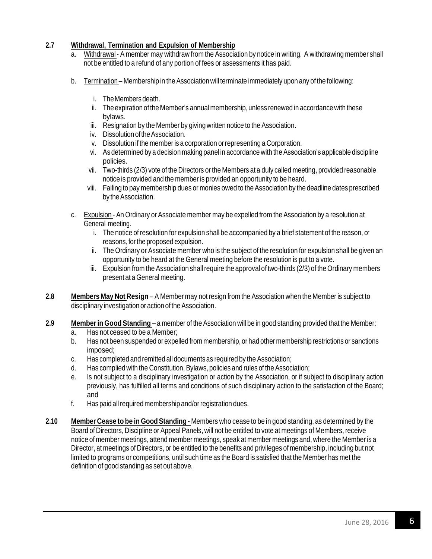#### **2.7 Withdrawal, Termination and Expulsion of Membership**

- a. Withdrawal- A member may withdraw from the Association by notice in writing. A withdrawing member shall not be entitled to a refund of any portion of fees or assessments it has paid.
- b. Termination Membership in the Association will terminate immediately upon any of the following:
	- i. TheMembersdeath.
	- ii. The expiration of the Member's annual membership, unless renewed in accordance with these bylaws.
	- iii. Resignation by the Member by giving written notice to the Association.
	- iv. DissolutionoftheAssociation.
	- v. Dissolution if the member is a corporation orrepresenting a Corporation.
	- vi. As determined by a decision making panel in accordance with the Association's applicable discipline policies.
	- vii. Two-thirds (2/3) vote of the Directors or the Members at a duly called meeting, provided reasonable notice is provided and the member is provided an opportunity to be heard.
	- viii. Failing to pay membership dues or monies owed to the Association by the deadline dates prescribed by the Association.
- c. Expulsion An Ordinary or Associate member may be expelled from the Association by a resolution at General meeting.
	- i. The notice ofresolution for expulsion shall be accompanied by a brief statement of the reason, or reasons, for the proposed expulsion.
	- ii. The Ordinary or Associate member who is the subject of the resolution for expulsion shall be given an opportunity to be heard at the General meeting before the resolution is put to a vote.
	- iii. Expulsion from the Association shall require the approval of two-thirds (2/3) of the Ordinary members present at a General meeting.
- **2.8 Members May Not Resign** A Member may notresign from the Association when the Member is subject to disciplinary investigation or action of the Association.
- **2.9 Memberin GoodStanding** a member of the Association will be in good standing provided that the Member:
	- a. Has not ceased to be a Member;
	- b. Has not been suspended or expelled from membership, or had other membership restrictions or sanctions imposed;
	- c. Has completed and remitted all documents as required by the Association;
	- d. Has complied with the Constitution, Bylaws, policies and rules of the Association;
	- e. Is not subject to a disciplinary investigation or action by the Association, or if subject to disciplinary action previously, has fulfilled all terms and conditions of such disciplinary action to the satisfaction of the Board; and
	- f. Has paid allrequired membership and/orregistration dues.
- <span id="page-5-0"></span>**2.10 Member Cease to be in GoodStanding -** Members who cease to be in good standing, as determined by the Board of Directors, Discipline or Appeal Panels, will not be entitled to vote at meetings of Members, receive notice of member meetings, attend member meetings, speak at member meetings and, where the Member is a Director, at meetings of Directors, or be entitled to the benefits and privileges of membership, including but not limited to programs or competitions, until such time as the Board is satisfied that the Member has met the definition of good standing as set out above.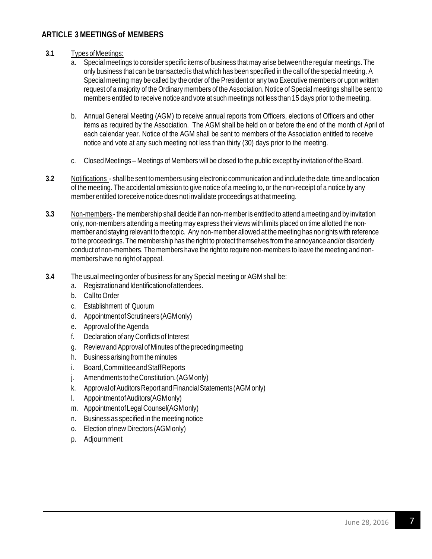## **ARTICLE 3 MEETINGS of MEMBERS**

- **3.1** TypesofMeetings:
	- a. Special meetings to consider specific items of business that may arise between the regular meetings. The only business that can be transacted is that which has been specified in the call of the special meeting. A Special meeting may be called by the order of the President or any two Executive members or upon written request of a majority of the Ordinary members of the Association. Notice of Special meetings shall be sent to members entitled to receive notice and vote at such meetings not less than 15 days prior to the meeting.
	- b. Annual General Meeting (AGM) to receive annual reports from Officers, elections of Officers and other items as required by the Association. The AGM shall be held on or before the end of the month of April of each calendar year. Notice of the AGM shall be sent to members of the Association entitled to receive notice and vote at any such meeting not less than thirty (30) days prior to the meeting.
	- c. Closed Meetings Meetings of Members will be closed to the public except by invitation of the Board.
- **3.2** Notifications shall be sent to members using electronic communication and include the date, time and location of the meeting. The accidental omission to give notice of a meeting to, or the non-receipt of a notice by any member entitled to receive notice does not invalidate proceedings at that meeting.
- **3.3** Non-members the membership shall decide if an non-member is entitled to attend a meeting and by invitation only, non-members attending a meeting may express their views with limits placed on time allotted the nonmember and staying relevant to the topic. Any non-member allowed at the meeting has no rights with reference to the proceedings. The membership has the right to protect themselves from the annoyance and/or disorderly conduct of non-members. The members have the right to require non-members to leave the meeting and nonmembers have no right of appeal.
- <span id="page-6-0"></span>**3.4** The usual meeting order of business for any Special meeting or AGM shall be:
	- a. Registration and Identification of attendees.
	- b. Call to Order
	- c. Establishment of Quorum
	- d. AppointmentofScrutineers (AGMonly)
	- e. Approval of the Agenda
	- f. Declaration of any Conflicts of Interest
	- g. Review andApproval of Minutes of the preceding meeting
	- h. Business arising from the minutes
	- i. Board,CommitteeandStaffReports
	- j. AmendmentstotheConstitution.(AGMonly)
	- k. Approval of Auditors Report and Financial Statements (AGM only)
	- l. AppointmentofAuditors(AGMonly)
	- m. AppointmentofLegalCounsel(AGMonly)
	- n. Business as specified in the meeting notice
	- o. Election of new Directors (AGM only)
	- p. Adjournment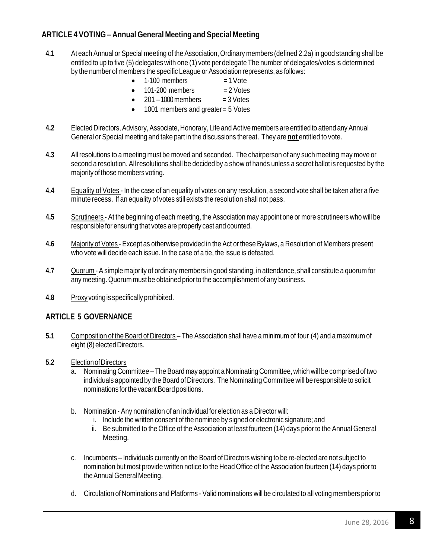## **ARTICLE 4 VOTING – Annual General Meeting and Special Meeting**

- **4.1** At each Annual or Special meeting of the Association, Ordinary members (defined 2.2a) in good standing shall be entitled to up to five (5) delegates with one (1) vote per delegate The number of delegates/votes is determined by the number of members the specific League or Association represents, as follows:
	- $1-100$  members  $=1$  Vote
	- $\bullet$  101-200 members  $= 2$  Votes
	- $\bullet$  201 1000 members = 3 Votes
	- 1001 members and greater = 5 Votes
- **4.2** Elected Directors, Advisory, Associate, Honorary, Life and Active members are entitled to attend any Annual General or Special meeting and take part in the discussions thereat. They are **not** entitled to vote.
- **4.3** All resolutions to a meeting must be moved and seconded. The chairperson of any such meeting may move or second a resolution. All resolutions shall be decided by a show of hands unless a secret ballot is requested by the majority of those members voting.
- **4.4** Equality of Votes In the case of an equality of votes on any resolution, a second vote shall be taken after a five minute recess. If an equality of votes still exists the resolution shall not pass.
- **4.5** Scrutineers At the beginning of each meeting, the Association may appoint one or more scrutineers who will be responsible for ensuring that votes are properly cast and counted.
- **4.6** Majority of Votes Except as otherwise provided in the Act or these Bylaws, a Resolution of Members present who vote will decide each issue. In the case of a tie, the issue is defeated.
- **4.7** Quorum A simple majority of ordinary members in good standing, in attendance, shall constitute a quorum for any meeting. Quorum must be obtained prior to the accomplishment of any business.
- **4.8** Proxy votingis specifically prohibited.

#### <span id="page-7-0"></span>**ARTICLE 5 GOVERNANCE**

- **5.1** Composition of the Board of Directors The Association shall have a minimum of four (4) and a maximum of eight (8) elected Directors.
- **5.2** ElectionofDirectors
	- a. Nominating Committee The Board may appoint a Nominating Committee, which will be comprised of two individuals appointed by the Board of Directors. The Nominating Committee will be responsible to solicit nominations for the vacant Board positions.
	- b. Nomination Any nomination of an individual for election as a Director will:
		- i. Include the written consent of the nominee by signed or electronic signature; and
		- ii. Be submitted to the Office of the Association at least fourteen (14) days prior to the Annual General Meeting.
	- c. Incumbents Individuals currently on the Board of Directors wishing to be re-elected are not subject to nomination but most provide written notice to the Head Office of the Association fourteen (14) days prior to theAnnualGeneralMeeting.
	- d. Circulation of Nominations and Platforms Valid nominations will be circulated to all voting members prior to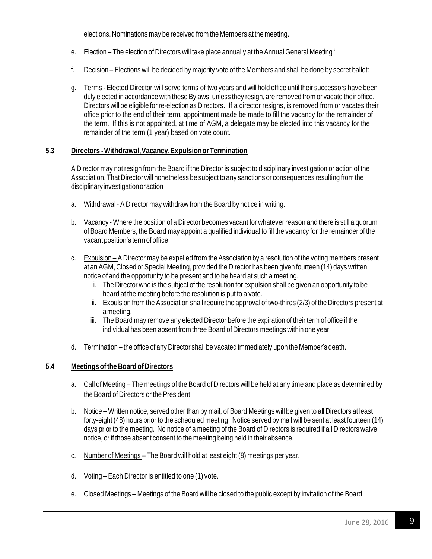elections.Nominations may be received from the Members at the meeting.

- e. Election The election of Directors will take place annually at the Annual General Meeting '
- f. Decision Elections will be decided by majority vote of the Members and shall be done by secret ballot:
- g. Terms Elected Director will serve terms of two years and will hold office until their successors have been duly elected in accordance with these Bylaws, unless they resign, are removed from or vacate their office. Directors will be eligible for re-election as Directors. If a director resigns, is removed from or vacates their office prior to the end of their term, appointment made be made to fill the vacancy for the remainder of the term. If this is not appointed, at time of AGM, a delegate may be elected into this vacancy for the remainder of the term (1 year) based on vote count.

#### **5.3 Directors -Withdrawal,Vacancy,ExpulsionorTermination**

A Director may not resign from the Board if the Director is subject to disciplinary investigation or action of the Association. That Director will nonetheless be subject to any sanctions or consequences resulting from the disciplinaryinvestigationoraction

- a. Withdrawal A Director may withdraw from the Board by notice in writing.
- b. Vacancy Where the position of a Director becomes vacant for whateverreason and there is still a quorum of Board Members, the Board may appoint a qualified individual to fill the vacancy for the remainder of the vacant position's term of office.
- c. Expulsion A Director may be expelled from the Association by a resolution of the voting members present at an AGM, Closed or Special Meeting, provided the Director has been given fourteen (14) days written notice of and the opportunity to be present and to be heard at such a meeting.
	- i. The Director who is the subject of the resolution for expulsion shall be given an opportunity to be heard at the meeting before the resolution is put to a vote.
	- ii. Expulsion from the Association shall require the approval of two-thirds (2/3) of the Directors present at ameeting.
	- iii. The Board may remove any elected Director before the expiration of their term of office if the individual has been absent from three Board of Directors meetings within one year.
- d. Termination the office of any Director shall be vacated immediately upon the Member's death.

#### **5.4 Meetingsofthe BoardofDirectors**

- a. Call of Meeting The meetings of the Board of Directors will be held at any time and place as determined by the Board of Directors or the President.
- b. Notice Written notice, served other than by mail, of Board Meetings will be given to all Directors at least forty-eight (48) hours prior to the scheduled meeting. Notice served by mail will be sent at least fourteen (14) days prior to the meeting. No notice of a meeting of the Board of Directors is required if all Directors waive notice, or if those absent consent to the meeting being held in their absence.
- c. Number of Meetings The Board will hold at least eight (8) meetings per year.
- d. Voting Each Director is entitled to one (1) vote.
- e. Closed Meetings Meetings of the Board will be closed to the public except by invitation of the Board.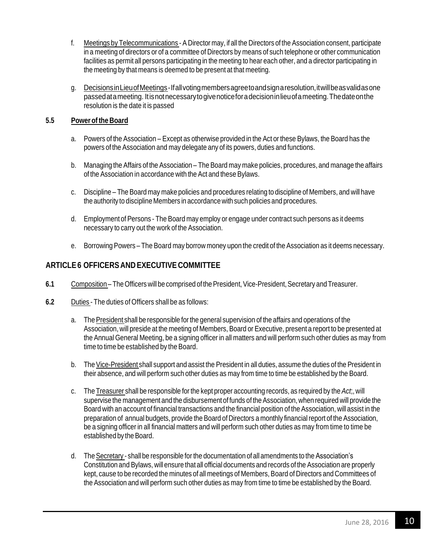- f. Meetings by Telecommunications A Director may, if all the Directors of the Association consent, participate in a meeting of directors or of a committee of Directors by means of such telephone or other communication facilities as permit all persons participating in the meeting to hear each other, and a director participating in the meeting by that means is deemed to be present at that meeting.
- g. DecisionsinLieuofMeetings-Ifallvotingmembersagreetoandsignaresolution,itwillbeasvalidasone passedatameeting. Itisnotnecessarytogivenoticeforadecisioninlieuofameeting.Thedateonthe resolution is the date it is passed

#### **5.5 Powerofthe Board**

- a. Powers of the Association Except as otherwise provided in the Act or these Bylaws, the Board has the powers of the Association and may delegate any of its powers, duties and functions.
- b. Managing the Affairs of the Association The Board may make policies, procedures, and manage the affairs of the Association in accordance with the Act and these Bylaws.
- c. Discipline The Board may make policies and procedures relating to discipline of Members, and will have the authority to discipline Members in accordance with such policies and procedures.
- d. Employment of Persons The Board may employ or engage under contract such persons as it deems necessary to carry out the work of the Association.
- e. Borrowing Powers The Board may borrow money upon the credit of the Association as it deems necessary.

## <span id="page-9-0"></span>**ARTICLE6 OFFICERS AND EXECUTIVE COMMITTEE**

- 6.1 Composition The Officers will be comprised of the President, Vice-President, Secretary and Treasurer.
- **6.2** Duties The duties of Officers shall be as follows:
	- a. The President shall be responsible for the general supervision of the affairs and operations of the Association, will preside at the meeting of Members, Board or Executive, present a report to be presented at the Annual General Meeting, be a signing officer in all matters and will perform such other duties as may from time to time be established by the Board.
	- b. The Vice-President shall support and assist the President in all duties, assume the duties of the President in their absence, and will perform such other duties as may from time to time be established by the Board.
	- c. The Treasurer shall be responsible for the kept proper accounting records, as required by the *Act*;, will supervise the management and the disbursement of funds of the Association, when required will provide the Board with an account of financial transactions and the financial position of the Association, will assist in the preparation of annual budgets, provide the Board of Directors a monthly financial report of the Association, be a signing officer in all financial matters and will perform such other duties as may from time to time be established by the Board.
	- d. TheSecretary shall be responsible for the documentation of all amendments to the Association's Constitution and Bylaws, will ensure that all official documents and records of the Association are properly kept, cause to be recorded the minutes of all meetings of Members, Board of Directors and Committees of the Association and will perform such other duties as may from time to time be established by the Board.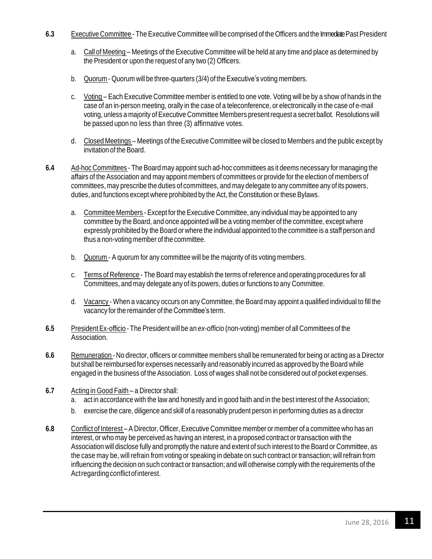- **6.3** Executive Committee The Executive Committee will be comprised of the Officers and the Immediate Past President
	- a. Call of Meeting Meetings of the Executive Committee will be held at any time and place as determined by the President or upon the request of any two (2) Officers.
	- b. Quorum Quorum will be three-quarters (3/4) of the Executive's voting members.
	- c. Voting Each Executive Committee member is entitled to one vote. Voting will be by a show of hands in the case of an in-person meeting, orally in the case of a teleconference, or electronically in the case of e-mail voting, unless a majority ofExecutive Committee Members presentrequest a secret ballot. Resolutions will be passed upon no less than three (3) affirmative votes.
	- d. Closed Meetings Meetings of the Executive Committee will be closed to Members and the public except by invitation of the Board.
- **6.4** Ad-hoc Committees The Board may appoint such ad-hoc committees as it deems necessary for managing the affairs of the Association and may appoint members of committees or provide for the election of members of committees, may prescribe the duties of committees, and may delegate to any committee any of its powers, duties, and functions except where prohibited by the Act, the Constitution or these Bylaws.
	- a. Committee Members Except for the Executive Committee, any individual may be appointed to any committee by the Board, and once appointed will be a voting member of the committee, except where expressly prohibited by the Board or where the individual appointed to the committee is a staff person and thus a non-voting member of the committee.
	- b. Quorum A quorum for any committee will be the majority of its voting members.
	- c. Terms of Reference The Board may establish the terms of reference and operating procedures for all Committees, and may delegate any of its powers, duties or functions to any Committee.
	- d. Vacancy When a vacancy occurs on any Committee, the Board may appoint a qualified individual to fill the vacancy forthe remainder of the Committee's term.
- **6.5** PresidentEx-officio The President will be an *ex-officio* (non-voting) member of all Committees of the Association.
- **6.6** Remuneration No director, officers or committee members shall be remunerated for being or acting as a Director but shall be reimbursed for expenses necessarily and reasonably incurred as approved by the Board while engaged in the business of the Association. Loss of wages shall not be considered out of pocket expenses.
- **6.7** Acting in Good Faith a Director shall:
	- a. act in accordance with the law and honestly and in good faith and in the best interest of the Association;
	- b. exercise the care, diligence and skill of a reasonably prudent person in performing duties as a director
- <span id="page-10-0"></span>**6.8** Conflict of Interest – A Director, Officer, Executive Committee member or member of a committee who has an interest, or who may be perceived as having an interest, in a proposed contract or transaction with the Association will disclose fully and promptly the nature and extent of such interest to the Board or Committee, as the case may be, will refrain from voting or speaking in debate on such contract or transaction; will refrain from influencing the decision on such contract or transaction; and will otherwise comply with the requirements of the Act regarding conflict of interest.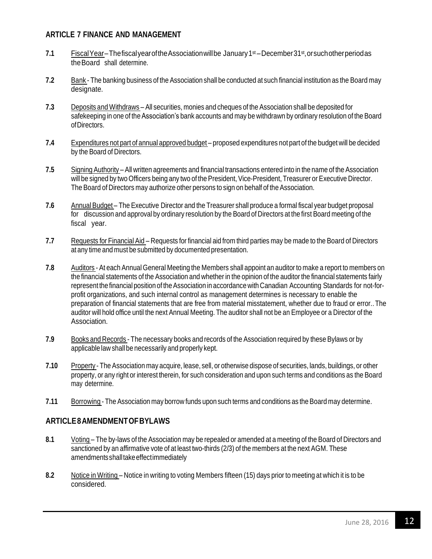#### **ARTICLE 7 FINANCE AND MANAGEMENT**

- **7.1** FiscalYear–ThefiscalyearoftheAssociationwillbe January1st –December31st ,orsuchotherperiodas theBoard shall determine.
- **7.2** Bank The banking business of the Association shall be conducted at such financial institution as the Board may designate.
- **7.3** Deposits and Withdraws All securities, monies and cheques of the Association shall be deposited for safekeeping in one of the Association's bank accounts and may be withdrawn by ordinary resolution of the Board ofDirectors.
- **7.4** Expenditures not part of annual approved budget proposed expenditures not part of the budget will be decided by the Board of Directors.
- **7.5** Signing Authority All written agreements and financial transactions entered into in the name of the Association will be signed by two Officers being any two of the President, Vice-President, Treasurer or Executive Director. The Board of Directors may authorize other persons to sign on behalf of the Association.
- 7.6 Annual Budget The Executive Director and the Treasurer shall produce a formal fiscal year budget proposal for discussion and approval by ordinary resolution by the Board of Directors at the first Board meeting of the fiscal year.
- **7.7** Requests for Financial Aid Requests for financial aid from third parties may be made to the Board of Directors at any time and must be submitted by documented presentation.
- **7.8** Auditors At each Annual General Meeting the Members shall appoint an auditor to make a report to members on the financial statements of the Association and whether in the opinion of the auditorthe financial statements fairly represent the financial position of the Association in accordance with Canadian Accounting Standards for not-forprofit organizations, and such internal control as management determines is necessary to enable the preparation of financial statements that are free from material misstatement, whether due to fraud or error..The auditor will hold office until the next Annual Meeting. The auditor shall not be an Employee or a Director of the Association.
- **7.9** Books and Records The necessary books and records of the Association required by these Bylaws or by applicable law shall be necessarily and properly kept.
- **7.10** Property The Association may acquire, lease, sell, or otherwise dispose of securities, lands, buildings, or other property, or any right or interest therein, for such consideration and upon such terms and conditions as the Board may determine.
- **7.11** Borrowing The Association may borrow funds upon such terms and conditions as the Board may determine.

## <span id="page-11-0"></span>**ARTICLE8AMENDMENTOFBYLAWS**

- **8.1** Voting The by-laws of the Association may be repealed or amended at a meeting of the Board of Directors and sanctioned by an affirmative vote of at least two-thirds (2/3) of the members at the next AGM. These amendmentsshalltakeeffectimmediately
- **8.2** Notice in Writing Notice in writing to voting Members fifteen (15) days prior to meeting at which it is to be considered.